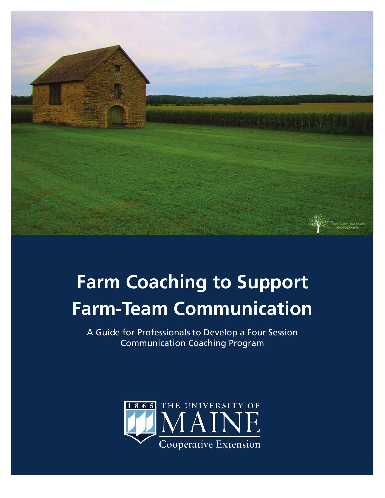

# **Farm Coaching to Support Farm-Team Communication**

A Guide for Professionals to Develop a Four-Session Communication Coaching Program

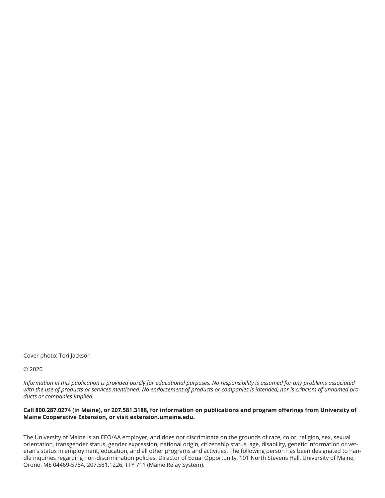Cover photo: Tori Jackson

© 2020

*Information in this publication is provided purely for educational purposes. No responsibility is assumed for any problems associated with the use of products or services mentioned. No endorsement of products or companies is intended, nor is criticism of unnamed products or companies implied.*

#### **Call 800.287.0274 (in Maine), or 207.581.3188, for information on publications and program offerings from University of Maine Cooperative Extension, or visit extension.umaine.edu.**

The University of Maine is an EEO/AA employer, and does not discriminate on the grounds of race, color, religion, sex, sexual orientation, transgender status, gender expression, national origin, citizenship status, age, disability, genetic information or veteran's status in employment, education, and all other programs and activities. The following person has been designated to handle inquiries regarding non-discrimination policies: Director of Equal Opportunity, 101 North Stevens Hall, University of Maine, Orono, ME 04469-5754, 207.581.1226, TTY 711 (Maine Relay System).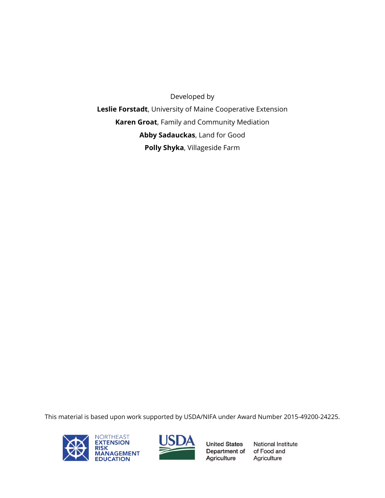Developed by **Leslie Forstadt**, University of Maine Cooperative Extension **Karen Groat**, Family and Community Mediation **Abby Sadauckas**, Land for Good **Polly Shyka**, Villageside Farm

This material is based upon work supported by USDA/NIFA under Award Number 2015-49200-24225.





**United States** Department of of Food and Agriculture

**National Institute** Agriculture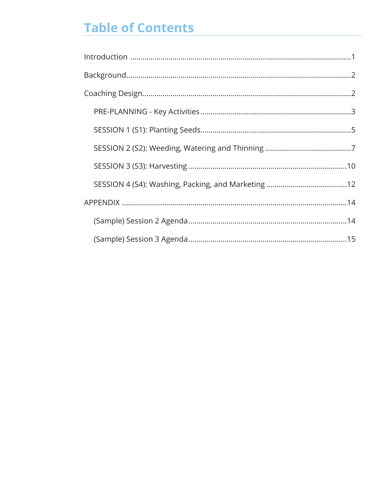# **Table of Contents**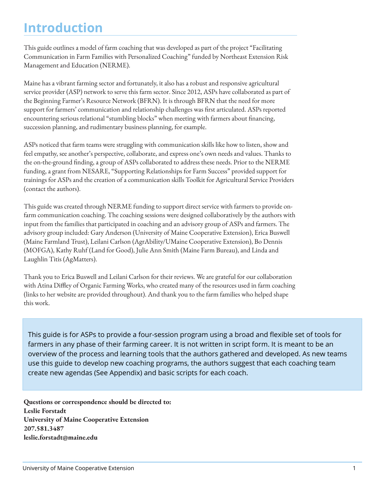### **Introduction**

This guide outlines a model of farm coaching that was developed as part of the project "Facilitating Communication in Farm Families with Personalized Coaching" funded by Northeast Extension Risk Management and Education (NERME).

Maine has a vibrant farming sector and fortunately, it also has a robust and responsive agricultural service provider (ASP) network to serve this farm sector. Since 2012, ASPs have collaborated as part of the Beginning Farmer's Resource Network (BFRN). It is through BFRN that the need for more support for farmers' communication and relationship challenges was first articulated. ASPs reported encountering serious relational "stumbling blocks" when meeting with farmers about financing, succession planning, and rudimentary business planning, for example.

ASPs noticed that farm teams were struggling with communication skills like how to listen, show and feel empathy, see another's perspective, collaborate, and express one's own needs and values. Thanks to the on-the-ground finding, a group of ASPs collaborated to address these needs. Prior to the NERME funding, a grant from NESARE, "Supporting Relationships for Farm Success" provided support for trainings for ASPs and the creation of a communication skills Toolkit for Agricultural Service Providers (contact the authors).

This guide was created through NERME funding to support direct service with farmers to provide onfarm communication coaching. The coaching sessions were designed collaboratively by the authors with input from the families that participated in coaching and an advisory group of ASPs and farmers. The advisory group included: Gary Anderson (University of Maine Cooperative Extension), Erica Buswell (Maine Farmland Trust), Leilani Carlson (AgrAbility/UMaine Cooperative Extension), Bo Dennis (MOFGA), Kathy Ruhf (Land for Good), Julie Ann Smith (Maine Farm Bureau), and Linda and Laughlin Titis (AgMatters).

Thank you to Erica Buswell and Leilani Carlson for their reviews. We are grateful for our collaboration with Atina Diffley of Organic Farming Works, who created many of the resources used in farm coaching (links to her website are provided throughout). And thank you to the farm families who helped shape this work.

This guide is for ASPs to provide a four-session program using a broad and flexible set of tools for farmers in any phase of their farming career. It is not written in script form. It is meant to be an overview of the process and learning tools that the authors gathered and developed. As new teams use this guide to develop new coaching programs, the authors suggest that each coaching team create new agendas (See Appendix) and basic scripts for each coach.

**Questions or correspondence should be directed to: Leslie Forstadt University of Maine Cooperative Extension 207.581.3487 leslie.forstadt@maine.edu**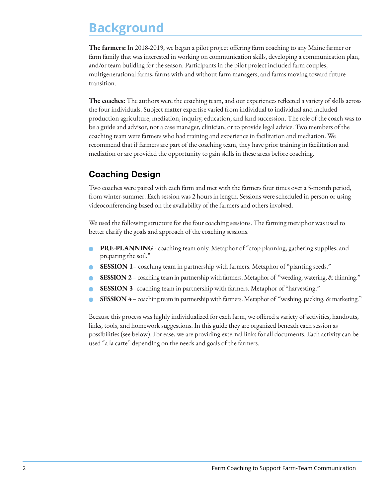### **Background**

**The farmers:** In 2018-2019, we began a pilot project offering farm coaching to any Maine farmer or farm family that was interested in working on communication skills, developing a communication plan, and/or team building for the season. Participants in the pilot project included farm couples, multigenerational farms, farms with and without farm managers, and farms moving toward future transition.

**The coaches:** The authors were the coaching team, and our experiences reflected a variety of skills across the four individuals. Subject matter expertise varied from individual to individual and included production agriculture, mediation, inquiry, education, and land succession. The role of the coach was to be a guide and advisor, not a case manager, clinician, or to provide legal advice. Two members of the coaching team were farmers who had training and experience in facilitation and mediation. We recommend that if farmers are part of the coaching team, they have prior training in facilitation and mediation or are provided the opportunity to gain skills in these areas before coaching.

### **Coaching Design**

Two coaches were paired with each farm and met with the farmers four times over a 5-month period, from winter-summer. Each session was 2 hours in length. Sessions were scheduled in person or using videoconferencing based on the availability of the farmers and others involved.

We used the following structure for the four coaching sessions. The farming metaphor was used to better clarify the goals and approach of the coaching sessions.

- n **PRE-PLANNING** coaching team only. Metaphor of "crop planning, gathering supplies, and preparing the soil."
- **SESSION 1** coaching team in partnership with farmers. Metaphor of "planting seeds."
- **SESSION 2** coaching team in partnership with farmers. Metaphor of "weeding, watering, & thinning."
- **SESSION 3**-coaching team in partnership with farmers. Metaphor of "harvesting."
- **SESSION 4** coaching team in partnership with farmers. Metaphor of "washing, packing, & marketing."

Because this process was highly individualized for each farm, we offered a variety of activities, handouts, links, tools, and homework suggestions. In this guide they are organized beneath each session as possibilities (see below). For ease, we are providing external links for all documents. Each activity can be used "a la carte" depending on the needs and goals of the farmers.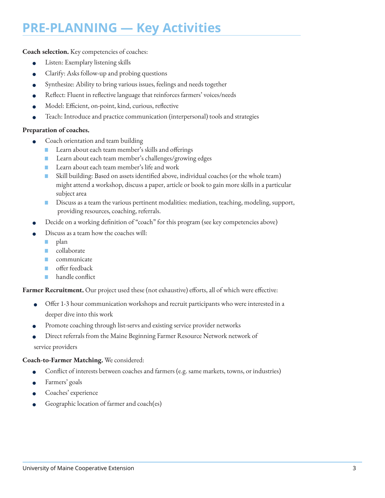### **PRE-PLANNING — Key Activities**

**Coach selection.** Key competencies of coaches:

- Listen: Exemplary listening skills
- Clarify: Asks follow-up and probing questions
- Synthesize: Ability to bring various issues, feelings and needs together
- <sup>n</sup> Reflect: Fluent in reflective language that reinforces farmers' voices/needs
- <sup>n</sup> Model: Efficient, on-point, kind, curious, reflective
- Teach: Introduce and practice communication (interpersonal) tools and strategies

#### **Preparation of coaches.**

- Coach orientation and team building
	- Learn about each team member's skills and offerings
	- Learn about each team member's challenges/growing edges
	- Learn about each team member's life and work
	- Skill building: Based on assets identified above, individual coaches (or the whole team) might attend a workshop, discuss a paper, article or book to gain more skills in a particular subject area
	- Discuss as a team the various pertinent modalities: mediation, teaching, modeling, support, providing resources, coaching, referrals.
- <sup>n</sup> Decide on a working definition of "coach" for this program (see key competencies above)
- Discuss as a team how the coaches will:
	- plan
	- collaborate
	- communicate
	- offer feedback
	- handle conflict

**Farmer Recruitment.** Our project used these (not exhaustive) efforts, all of which were effective:

- <sup>n</sup> Offer 1-3 hour communication workshops and recruit participants who were interested in a deeper dive into this work
- Promote coaching through list-servs and existing service provider networks
- Direct referrals from the Maine Beginning Farmer Resource Network network of service providers

#### **Coach-to-Farmer Matching.** We considered:

- Conflict of interests between coaches and farmers (e.g. same markets, towns, or industries)
- Farmers' goals
- Coaches' experience
- Geographic location of farmer and coach(es)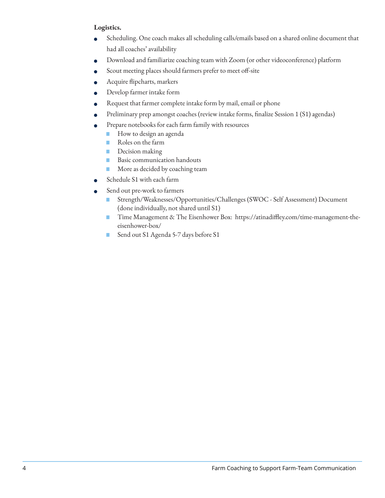#### **Logistics.**

- <sup>n</sup> Scheduling. One coach makes all scheduling calls/emails based on a shared online document that had all coaches' availability
- <sup>n</sup> Download and familiarize coaching team with Zoom (or other videoconference) platform
- Scout meeting places should farmers prefer to meet off-site
- <sup>n</sup> Acquire flipcharts, markers
- Develop farmer intake form
- Request that farmer complete intake form by mail, email or phone
- <sup>n</sup> Preliminary prep amongst coaches (review intake forms, finalize Session 1 (S1) agendas)
- Prepare notebooks for each farm family with resources
	- How to design an agenda
	- Roles on the farm
	- Decision making
	- Basic communication handouts
	- More as decided by coaching team
- Schedule S1 with each farm
- Send out pre-work to farmers
	- Strength/Weaknesses/Opportunities/Challenges (SWOC Self Assessment) Document (done individually, not shared until S1)
	- Time Management & The Eisenhower Box: https://atinadiffley.com/time-management-theeisenhower-box/
	- Send out S1 Agenda 5-7 days before S1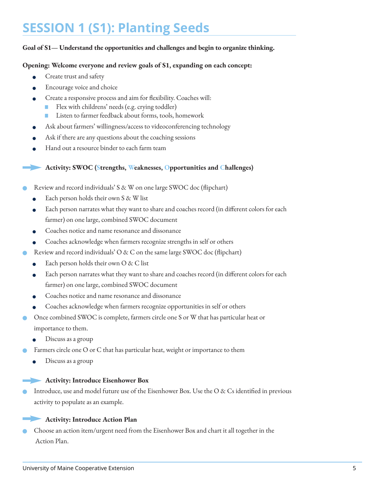### **SESSION 1 (S1): Planting Seeds**

#### **Goal of S1— Understand the opportunities and challenges and begin to organize thinking.**

#### **Opening: Welcome everyone and review goals of S1, expanding on each concept:**

- Create trust and safety
- Encourage voice and choice
- <sup>n</sup> Create a responsive process and aim for flexibility. Coaches will:
	- Flex with childrens' needs (e.g. crying toddler)
		- Listen to farmer feedback about forms, tools, homework
- Ask about farmers' willingness/access to videoconferencing technology
- Ask if there are any questions about the coaching sessions
- Hand out a resource binder to each farm team

#### **Activity: SWOC (Strengths, Weaknesses, Opportunities and Challenges)**

- n Review and record individuals' S & W on one large SWOC doc (flipchart)
	- Each person holds their own S & W list
	- <sup>n</sup> Each person narrates what they want to share and coaches record (in different colors for each farmer) on one large, combined SWOC document
	- Coaches notice and name resonance and dissonance
	- <sup>n</sup> Coaches acknowledge when farmers recognize strengths in self or others
- Review and record individuals' O & C on the same large SWOC doc (flipchart)
	- Each person holds their own  $O & C$  list
	- Each person narrates what they want to share and coaches record (in different colors for each farmer) on one large, combined SWOC document
	- Coaches notice and name resonance and dissonance
	- <sup>n</sup> Coaches acknowledge when farmers recognize opportunities in self or others
- Once combined SWOC is complete, farmers circle one S or W that has particular heat or importance to them.
	- Discuss as a group
- Farmers circle one O or C that has particular heat, weight or importance to them
	- Discuss as a group

#### **Activity: Introduce Eisenhower Box**

Introduce, use and model future use of the Eisenhower Box. Use the O & Cs identified in previous activity to populate as an example.



n Choose an action item/urgent need from the Eisenhower Box and chart it all together in the Action Plan.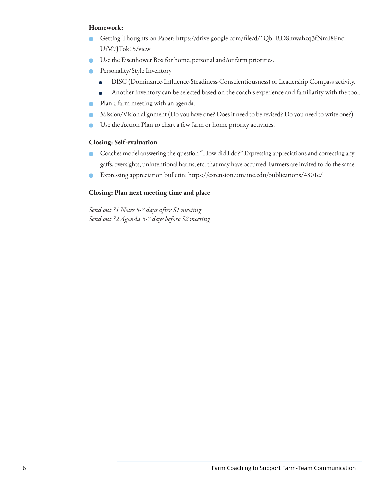#### **Homework:**

- Getting Thoughts on Paper: https://drive.google.com/file/d/1Qb\_RD8mwahzq3fNmI8Pnq\_ UiM7JTok15/view
- n Use the Eisenhower Box for home, personal and/or farm priorities.
- Personality/Style Inventory
	- <sup>n</sup> DISC (Dominance-Influence-Steadiness-Conscientiousness) or Leadership Compass activity.
	- <sup>n</sup> Another inventory can be selected based on the coach's experience and familiarity with the tool.
- **•** Plan a farm meeting with an agenda.
- Mission/Vision alignment (Do you have one? Does it need to be revised? Do you need to write one?)
- Use the Action Plan to chart a few farm or home priority activities.

#### **Closing: Self-evaluation**

- n Coaches model answering the question "How did I do?" Expressing appreciations and correcting any gaffs, oversights, unintentional harms, etc. that may have occurred. Farmers are invited to do the same.
- n Expressing appreciation bulletin: https://extension.umaine.edu/publications/4801e/

#### **Closing: Plan next meeting time and place**

*Send out S1 Notes 5-7 days after S1 meeting Send out S2 Agenda 5-7 days before S2 meeting*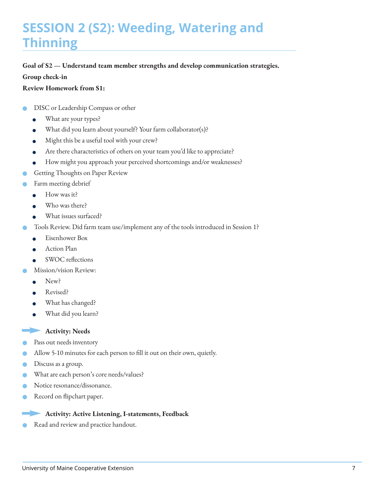# **SESSION 2 (S2): Weeding, Watering and Thinning**

#### **Goal of S2 — Understand team member strengths and develop communication strategies.**

#### **Group check-in**

#### **Review Homework from S1:**

- DISC or Leadership Compass or other
	- What are your types?
	- <sup>n</sup> What did you learn about yourself? Your farm collaborator(s)?
	- Might this be a useful tool with your crew?
	- Are there characteristics of others on your team you'd like to appreciate?
	- <sup>n</sup> How might you approach your perceived shortcomings and/or weaknesses?
- Getting Thoughts on Paper Review
- Farm meeting debrief
	- $\bullet$  How was it?
	- Who was there?
	- What issues surfaced?
- Tools Review. Did farm team use/implement any of the tools introduced in Session 1?
	- **e** Eisenhower Box
	- **e** Action Plan
	- SWOC reflections
- Mission/vision Review:
	- New?
	- Revised?
	- What has changed?
	- What did you learn?

#### Activity: Needs

- Pass out needs inventory
- n Allow 5-10 minutes for each person to fill it out on their own, quietly.
- Discuss as a group.
- What are each person's core needs/values?
- Notice resonance/dissonance.
- Record on flipchart paper.

#### **Activity: Active Listening, I-statements, Feedback**

Read and review and practice handout.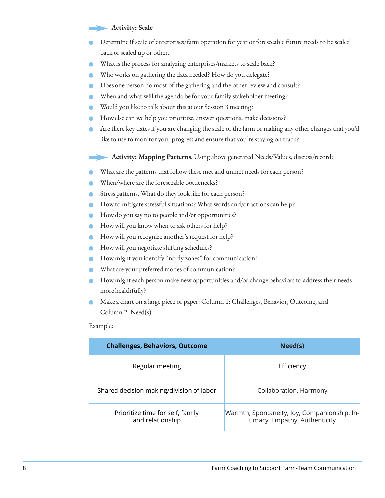#### **Activity: Scale**

- Determine if scale of enterprises/farm operation for year or foreseeable future needs to be scaled back or scaled up or other.
- What is the process for analyzing enterprises/markets to scale back?
- Who works on gathering the data needed? How do you delegate?
- Does one person do most of the gathering and the other review and consult?
- When and what will the agenda be for your family stakeholder meeting?
- Would you like to talk about this at our Session 3 meeting?
- How else can we help you prioritize, answer questions, make decisions?
- n Are there key dates if you are changing the scale of the farm or making any other changes that you'd like to use to monitor your progress and ensure that you're staying on track?
	- **Activity: Mapping Patterns.** Using above generated Needs/Values, discuss/record:
- What are the patterns that follow these met and unmet needs for each person?
- When/where are the foreseeable bottlenecks?
- Stress patterns. What do they look like for each person?
- n How to mitigate stressful situations? What words and/or actions can help?
- How do you say no to people and/or opportunities?
- **n** How will you know when to ask others for help?
- How will you recognize another's request for help?
- **n** How will you negotiate shifting schedules?
- How might you identify "no fly zones" for communication?
- What are your preferred modes of communication?
- How might each person make new opportunities and/or change behaviors to address their needs more healthfully?
- n Make a chart on a large piece of paper: Column 1: Challenges, Behavior, Outcome, and Column 2: Need(s).

Example:

| <b>Challenges, Behaviors, Outcome</b>                | Need(s)                                                                       |  |  |  |
|------------------------------------------------------|-------------------------------------------------------------------------------|--|--|--|
| Regular meeting                                      | Efficiency                                                                    |  |  |  |
| Shared decision making/division of labor             | Collaboration, Harmony                                                        |  |  |  |
| Prioritize time for self, family<br>and relationship | Warmth, Spontaneity, Joy, Companionship, In-<br>timacy, Empathy, Authenticity |  |  |  |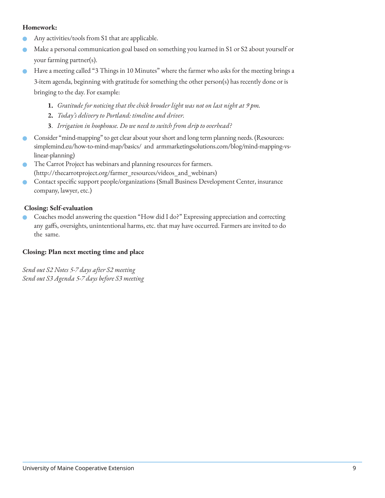#### **Homework:**

- Any activities/tools from S1 that are applicable.
- n Make a personal communication goal based on something you learned in S1 or S2 about yourself or your farming partner(s).
- Have a meeting called "3 Things in 10 Minutes" where the farmer who asks for the meeting brings a 3-item agenda, beginning with gratitude for something the other person(s) has recently done or is bringing to the day. For example:
	- **1.** *Gratitude for noticing that the chick brooder light was not on last night at 9 pm.*
	- **2.** *Today's delivery to Portland: timeline and driver.*
	- **3**. *Irrigation in hoophouse. Do we need to switch from drip to overhead?*
- n Consider "mind-mapping" to get clear about your short and long term planning needs. (Resources: simplemind.eu/how-to-mind-map/basics/ and armmarketingsolutions.com/blog/mind-mapping-vs linear-planning)
- The Carrot Project has webinars and planning resources for farmers. (http://thecarrotproject.org/farmer\_resources/videos\_and\_webinars)
- n Contact specific support people/organizations (Small Business Development Center, insurance company, lawyer, etc.)

#### **Closing: Self-evaluation**

n Coaches model answering the question "How did I do?" Expressing appreciation and correcting any gaffs, oversights, unintentional harms, etc. that may have occurred. Farmers are invited to do the same.

#### **Closing: Plan next meeting time and place**

*Send out S2 Notes 5-7 days after S2 meeting Send out S3 Agenda 5-7 days before S3 meeting*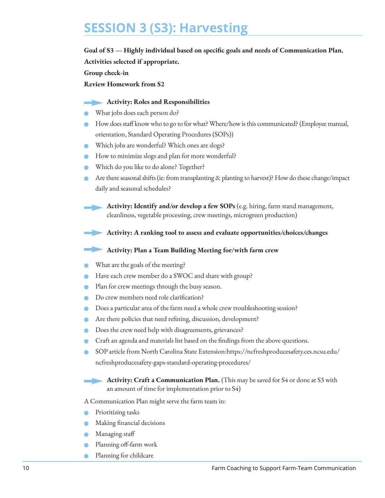### **SESSION 3 (S3): Harvesting**

#### **Goal of S3 — Highly individual based on specific goals and needs of Communication Plan.**

**Activities selected if appropriate.** 

**Group check-in**

**Review Homework from S2**

#### **Activity: Roles and Responsibilities**

- What jobs does each person do?
- How does staff know who to go to for what? Where/how is this communicated? (Employee manual, orientation, Standard Operating Procedures (SOPs))
- Which jobs are wonderful? Which ones are slogs?
- How to minimize slogs and plan for more wonderful?
- Which do you like to do alone? Together?
- n Are there seasonal shifts (ie: from transplanting & planting to harvest)? How do these change/impact daily and seasonal schedules?

**Activity: Identify and/or develop a few SOPs** (e.g. hiring, farm stand management, cleanliness, vegetable processing, crew meetings, microgreen production)

**Activity: A ranking tool to assess and evaluate opportunities/choices/changes** 

**Activity: Plan a Team Building Meeting for/with farm crew**

- What are the goals of the meeting?
- Have each crew member do a SWOC and share with group?
- Plan for crew meetings through the busy season.
- Do crew members need role clarification?
- Does a particular area of the farm need a whole crew troubleshooting session?
- Are there policies that need refining, discussion, development?
- Does the crew need help with disagreements, grievances?
- n Craft an agenda and materials list based on the findings from the above questions.
- n SOP article from North Carolina State Extension:https://ncfreshproducesafety.ces.ncsu.edu/ ncfreshproducesafety-gaps-standard-operating-procedures/

#### **Activity: Craft a Communication Plan.** (This may be saved for S4 or done at S3 with an amount of time for implementation prior to S4)

A Communication Plan might serve the farm team in:

- Prioritizing tasks
- n Making financial decisions
- Managing staff
- Planning off-farm work
- Planning for childcare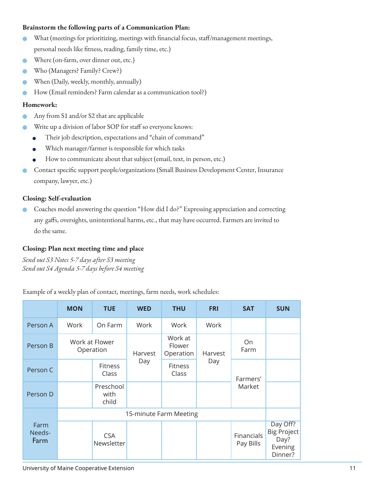#### **Brainstorm the following parts of a Communication Plan:**

- n What (meetings for prioritizing, meetings with financial focus, staff/management meetings, personal needs like fitness, reading, family time, etc.)
- Where (on-farm, over dinner out, etc.)
- Who (Managers? Family? Crew?)
- n When (Daily, weekly, monthly, annually)
- How (Email reminders? Farm calendar as a communication tool?)

#### **Homework:**

- Any from S1 and/or S2 that are applicable
- Write up a division of labor SOP for staff so everyone knows:
	- <sup>n</sup> Their job description, expectations and "chain of command"
	- Which manager/farmer is responsible for which tasks
	- How to communicate about that subject (email, text, in person, etc.)
- n Contact specific support people/organizations (Small Business Development Center, Insurance company, lawyer, etc.)

#### **Closing: Self-evaluation**

n Coaches model answering the question "How did I do?" Expressing appreciation and correcting any gaffs, oversights, unintentional harms, etc., that may have occurred. Farmers are invited to do the same.

#### **Closing: Plan next meeting time and place**

*Send out S3 Notes 5-7 days after S3 meeting Send out S4 Agenda 5-7 days before S4 meeting*

Example of a weekly plan of contact, meetings, farm needs, work schedules:

|                        | <b>MON</b>                  | <b>TUE</b>                 | <b>WED</b> | <b>THU</b>                     | <b>FRI</b>             | <b>SAT</b>              | <b>SUN</b>                                                   |  |
|------------------------|-----------------------------|----------------------------|------------|--------------------------------|------------------------|-------------------------|--------------------------------------------------------------|--|
| Person A               | Work                        | On Farm                    | Work       | Work                           | Work                   |                         |                                                              |  |
| Person B               | Work at Flower<br>Operation |                            | Harvest    | Work at<br>Flower<br>Operation | On.<br>Farm<br>Harvest |                         |                                                              |  |
| Person C               |                             | Fitness<br>Class           | Day        | Fitness<br>Class               | Day                    | Farmers'<br>Market      |                                                              |  |
| Person D               |                             | Preschool<br>with<br>child |            |                                |                        |                         |                                                              |  |
|                        | 15-minute Farm Meeting      |                            |            |                                |                        |                         |                                                              |  |
| Farm<br>Needs-<br>Farm |                             | <b>CSA</b><br>Newsletter   |            |                                |                        | Financials<br>Pay Bills | Day Off?<br><b>Big Project</b><br>Day?<br>Evening<br>Dinner? |  |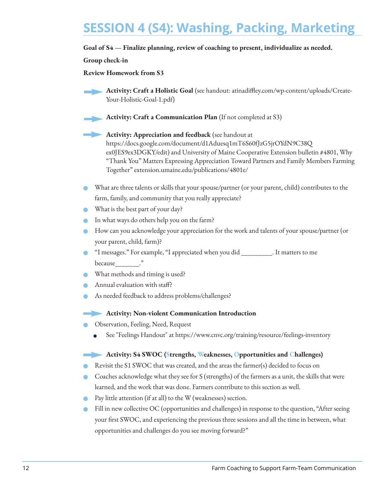# **SESSION 4 (S4): Washing, Packing, Marketing**

#### **Goal of S4 — Finalize planning, review of coaching to present, individualize as needed.**

#### **Group check-in**

**Review Homework from S3**

**Activity: Craft a Holistic Goal** (see handout: atinadiffley.com/wp-content/uploads/Create-Your-Holistic-Goal-1.pdf)

- **Activity: Craft a Communication Plan** (If not completed at S3)
	- **Activity: Appreciation and feedback** (see handout at https://docs.google.com/document/d1Aduesq1mT6S60fJzG5jrOYdN9C38Q

ex0JES9ex3DGKY/edit) and University of Maine Cooperative Extension bulletin #4801, Why "Thank You" Matters Expressing Appreciation Toward Partners and Family Members Farming Together" extension.umaine.edu/publications/4801e/

- n What are three talents or skills that your spouse/partner (or your parent, child) contributes to the farm, family, and community that you really appreciate?
- What is the best part of your day?
- n In what ways do others help you on the farm?
- How can you acknowledge your appreciation for the work and talents of your spouse/partner (or your parent, child, farm)?
- n "I messages." For example, "I appreciated when you did \_\_\_\_\_\_\_\_\_. It matters to me because\_\_\_\_\_\_\_."
- What methods and timing is used?
- Annual evaluation with staff?
- As needed feedback to address problems/challenges?

#### **Activity: Non-violent Communication Introduction**

- n Observation, Feeling, Need, Request
	- See "Feelings Handout" at https://www.cnvc.org/training/resource/feelings-inventory

#### **Activity: S4 SWOC (Strengths, Weaknesses, Opportunities and Challenges)**

- n Revisit the S1 SWOC that was created, and the areas the farmer(s) decided to focus on
- n Coaches acknowledge what they see for S (strengths) of the farmers as a unit, the skills that were learned, and the work that was done. Farmers contribute to this section as well.
- Pay little attention (if at all) to the W (weaknesses) section.
- n Fill in new collective OC (opportunities and challenges) in response to the question, "After seeing your first SWOC, and experiencing the previous three sessions and all the time in between, what opportunities and challenges do you see moving forward?"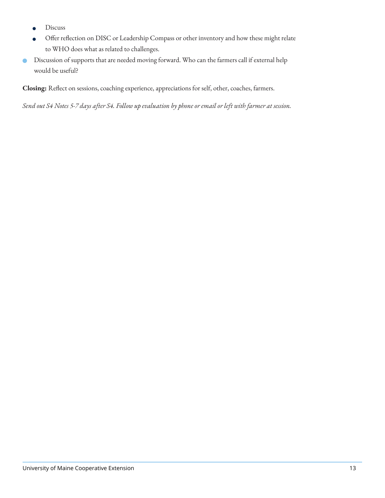- Discuss
- <sup>n</sup> Offer reflection on DISC or Leadership Compass or other inventory and how these might relate to WHO does what as related to challenges.
- n Discussion of supports that are needed moving forward. Who can the farmers call if external help would be useful?

**Closing:** Reflect on sessions, coaching experience, appreciations for self, other, coaches, farmers.

*Send out S4 Notes 5-7 days after S4. Follow up evaluation by phone or email or left with farmer at session.*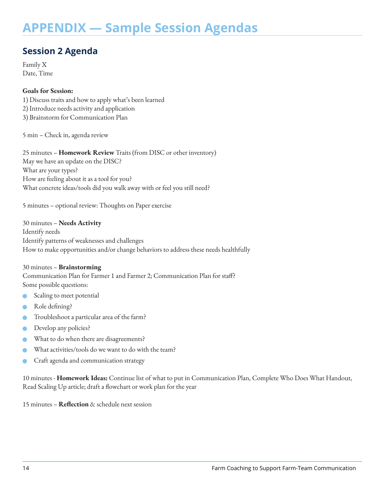### **APPENDIX — Sample Session Agendas**

### **Session 2 Agenda**

Family X Date, Time

#### **Goals for Session:**

1) Discuss traits and how to apply what's been learned 2) Introduce needs activity and application 3) Brainstorm for Communication Plan

5 min – Check in, agenda review

25 minutes – **Homework Review** Traits (from DISC or other inventory) May we have an update on the DISC? What are your types? How are feeling about it as a tool for you? What concrete ideas/tools did you walk away with or feel you still need?

5 minutes – optional review: Thoughts on Paper exercise

30 minutes – **Needs Activity**  Identify needs Identify patterns of weaknesses and challenges How to make opportunities and/or change behaviors to address these needs healthfully

#### 30 minutes – **Brainstorming**

Communication Plan for Farmer 1 and Farmer 2; Communication Plan for staff? Some possible questions:

- Scaling to meet potential
- Role defining?
- Troubleshoot a particular area of the farm?
- Develop any policies?
- What to do when there are disagreements?
- What activities/tools do we want to do with the team?
- Craft agenda and communication strategy

10 minutes - **Homework Ideas:** Continue list of what to put in Communication Plan, Complete Who Does What Handout, Read Scaling Up article; draft a flowchart or work plan for the year

15 minutes – **Reflection** & schedule next session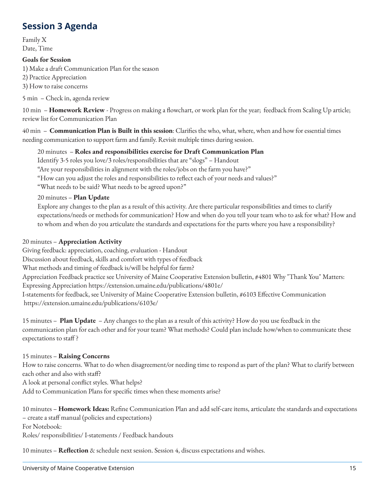### **Session 3 Agenda**

Family X Date, Time

#### **Goals for Session**

1) Make a draft Communication Plan for the season

2) Practice Appreciation

3) How to raise concerns

5 min – Check in, agenda review

10 min – **Homework Review** - Progress on making a flowchart, or work plan for the year; feedback from Scaling Up article; review list for Communication Plan

40 min – **Communication Plan is Built in this session**: Clarifies the who, what, where, when and how for essential times needing communication to support farm and family. Revisit multiple times during session.

20 minutes – **Roles and responsibilities exercise for Draft Communication Plan** Identify 3-5 roles you love/3 roles/responsibilities that are "slogs" – Handout "Are your responsibilities in alignment with the roles/jobs on the farm you have?" "How can you adjust the roles and responsibilities to reflect each of your needs and values?" "What needs to be said? What needs to be agreed upon?"

20 minutes – **Plan Update**

Explore any changes to the plan as a result of this activity. Are there particular responsibilities and times to clarify expectations/needs or methods for communication? How and when do you tell your team who to ask for what? How and to whom and when do you articulate the standards and expectations for the parts where you have a responsibility?

#### 20 minutes – **Appreciation Activity**

Giving feedback: appreciation, coaching, evaluation - Handout Discussion about feedback, skills and comfort with types of feedback What methods and timing of feedback is/will be helpful for farm? Appreciation Feedback practice see University of Maine Cooperative Extension bulletin, #4801 Why "Thank You" Matters: Expressing Appreciation https://extension.umaine.edu/publications/4801e/ I-statements for feedback, see University of Maine Cooperative Extension bulletin, #6103 Effective Communication https://extension.umaine.edu/publications/6103e/

15 minutes – **Plan Update** – Any changes to the plan as a result of this activity? How do you use feedback in the communication plan for each other and for your team? What methods? Could plan include how/when to communicate these expectations to staff?

15 minutes – **Raising Concerns** How to raise concerns. What to do when disagreement/or needing time to respond as part of the plan? What to clarify between each other and also with staff? A look at personal conflict styles. What helps? Add to Communication Plans for specific times when these moments arise?

10 minutes – **Homework Ideas:** Refine Communication Plan and add self-care items, articulate the standards and expectations – create a staff manual (policies and expectations) For Notebook: Roles/ responsibilities/ I-statements / Feedback handouts

10 minutes – **Reflection** & schedule next session. Session 4, discuss expectations and wishes.